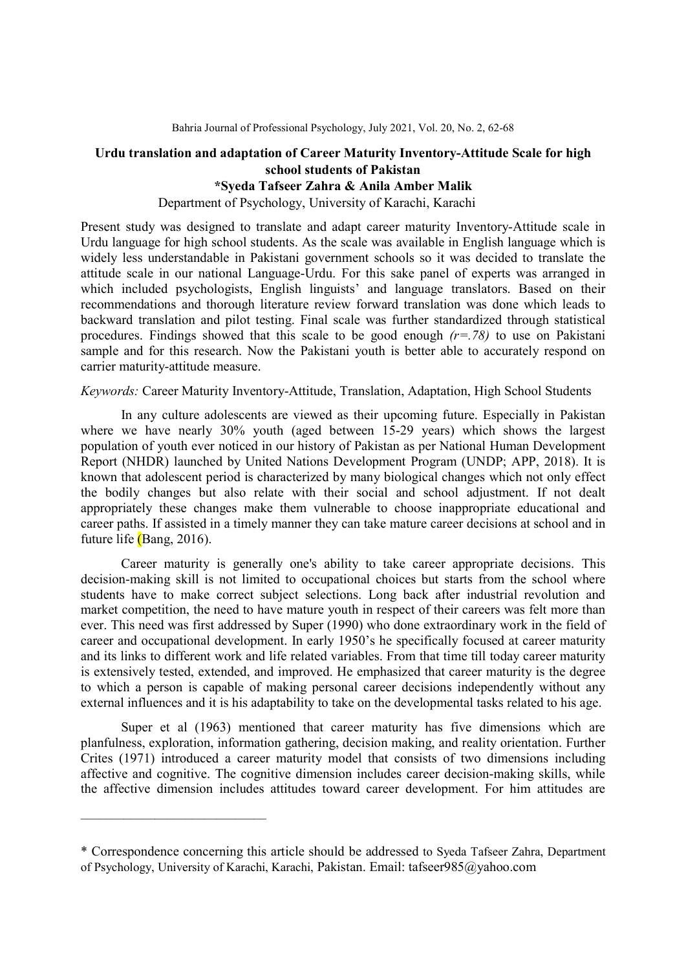# Urdu translation and adaptation of Career Maturity Inventory-Attitude Scale for high school students of Pakistan

# \*Syeda Tafseer Zahra & Anila Amber Malik

Department of Psychology, University of Karachi, Karachi

Present study was designed to translate and adapt career maturity Inventory-Attitude scale in Urdu language for high school students. As the scale was available in English language which is widely less understandable in Pakistani government schools so it was decided to translate the attitude scale in our national Language-Urdu. For this sake panel of experts was arranged in which included psychologists, English linguists' and language translators. Based on their recommendations and thorough literature review forward translation was done which leads to backward translation and pilot testing. Final scale was further standardized through statistical procedures. Findings showed that this scale to be good enough  $(r=.78)$  to use on Pakistani sample and for this research. Now the Pakistani youth is better able to accurately respond on carrier maturity-attitude measure.

# Keywords: Career Maturity Inventory-Attitude, Translation, Adaptation, High School Students

In any culture adolescents are viewed as their upcoming future. Especially in Pakistan where we have nearly 30% youth (aged between 15-29 years) which shows the largest population of youth ever noticed in our history of Pakistan as per National Human Development Report (NHDR) launched by United Nations Development Program (UNDP; APP, 2018). It is known that adolescent period is characterized by many biological changes which not only effect the bodily changes but also relate with their social and school adjustment. If not dealt appropriately these changes make them vulnerable to choose inappropriate educational and career paths. If assisted in a timely manner they can take mature career decisions at school and in future life (Bang, 2016).

Career maturity is generally one's ability to take career appropriate decisions. This decision-making skill is not limited to occupational choices but starts from the school where students have to make correct subject selections. Long back after industrial revolution and market competition, the need to have mature youth in respect of their careers was felt more than ever. This need was first addressed by Super (1990) who done extraordinary work in the field of career and occupational development. In early 1950's he specifically focused at career maturity and its links to different work and life related variables. From that time till today career maturity is extensively tested, extended, and improved. He emphasized that career maturity is the degree to which a person is capable of making personal career decisions independently without any external influences and it is his adaptability to take on the developmental tasks related to his age.

Super et al (1963) mentioned that career maturity has five dimensions which are planfulness, exploration, information gathering, decision making, and reality orientation. Further Crites (1971) introduced a career maturity model that consists of two dimensions including affective and cognitive. The cognitive dimension includes career decision-making skills, while the affective dimension includes attitudes toward career development. For him attitudes are

 $\mathcal{L}_\text{max}$ 

<sup>\*</sup> Correspondence concerning this article should be addressed to Syeda Tafseer Zahra, Department of Psychology, University of Karachi, Karachi, Pakistan. Email: tafseer985@yahoo.com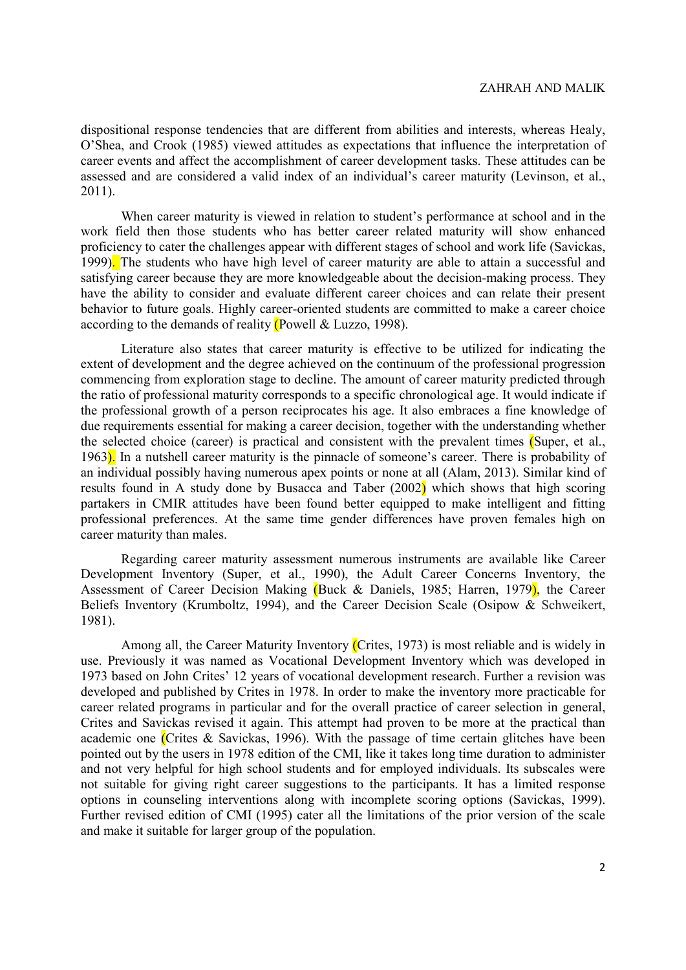dispositional response tendencies that are different from abilities and interests, whereas Healy, O'Shea, and Crook (1985) viewed attitudes as expectations that influence the interpretation of career events and affect the accomplishment of career development tasks. These attitudes can be assessed and are considered a valid index of an individual's career maturity (Levinson, et al., 2011).

When career maturity is viewed in relation to student's performance at school and in the work field then those students who has better career related maturity will show enhanced proficiency to cater the challenges appear with different stages of school and work life (Savickas, 1999). The students who have high level of career maturity are able to attain a successful and satisfying career because they are more knowledgeable about the decision-making process. They have the ability to consider and evaluate different career choices and can relate their present behavior to future goals. Highly career-oriented students are committed to make a career choice according to the demands of reality (Powell & Luzzo, 1998).

Literature also states that career maturity is effective to be utilized for indicating the extent of development and the degree achieved on the continuum of the professional progression commencing from exploration stage to decline. The amount of career maturity predicted through the ratio of professional maturity corresponds to a specific chronological age. It would indicate if the professional growth of a person reciprocates his age. It also embraces a fine knowledge of due requirements essential for making a career decision, together with the understanding whether the selected choice (career) is practical and consistent with the prevalent times (Super, et al., 1963). In a nutshell career maturity is the pinnacle of someone's career. There is probability of an individual possibly having numerous apex points or none at all (Alam, 2013). Similar kind of results found in A study done by Busacca and Taber  $(2002)$  which shows that high scoring partakers in CMIR attitudes have been found better equipped to make intelligent and fitting professional preferences. At the same time gender differences have proven females high on career maturity than males.

Regarding career maturity assessment numerous instruments are available like Career Development Inventory (Super, et al., 1990), the Adult Career Concerns Inventory, the Assessment of Career Decision Making (Buck & Daniels, 1985; Harren, 1979), the Career Beliefs Inventory (Krumboltz, 1994), and the Career Decision Scale (Osipow & Schweikert, 1981).

Among all, the Career Maturity Inventory (Crites, 1973) is most reliable and is widely in use. Previously it was named as Vocational Development Inventory which was developed in 1973 based on John Crites' 12 years of vocational development research. Further a revision was developed and published by Crites in 1978. In order to make the inventory more practicable for career related programs in particular and for the overall practice of career selection in general, Crites and Savickas revised it again. This attempt had proven to be more at the practical than academic one (Crites & Savickas, 1996). With the passage of time certain glitches have been pointed out by the users in 1978 edition of the CMI, like it takes long time duration to administer and not very helpful for high school students and for employed individuals. Its subscales were not suitable for giving right career suggestions to the participants. It has a limited response options in counseling interventions along with incomplete scoring options (Savickas, 1999). Further revised edition of CMI (1995) cater all the limitations of the prior version of the scale and make it suitable for larger group of the population.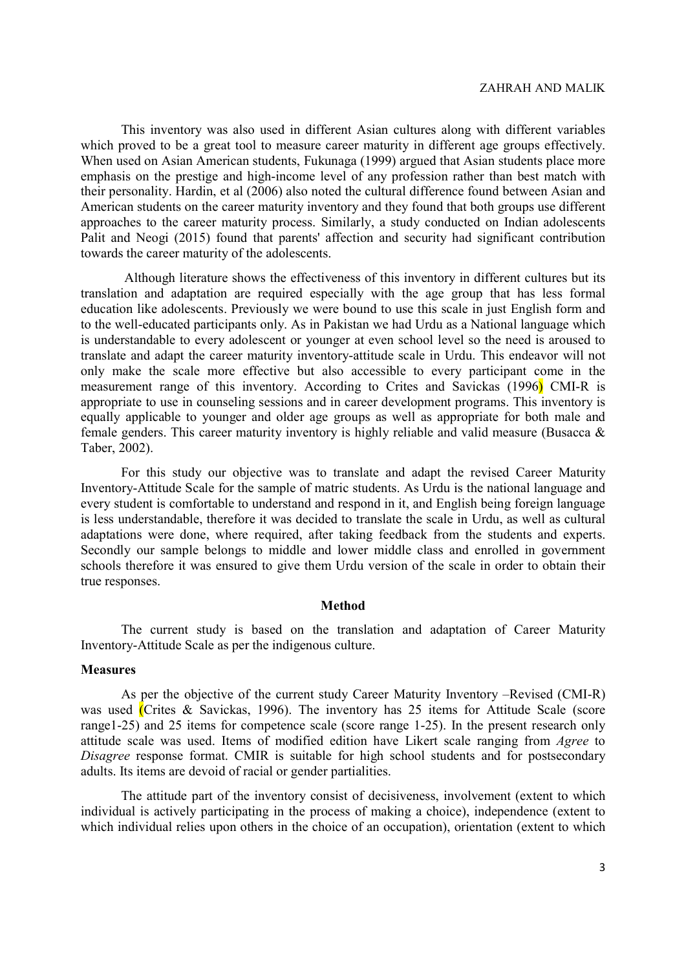This inventory was also used in different Asian cultures along with different variables which proved to be a great tool to measure career maturity in different age groups effectively. When used on Asian American students, Fukunaga (1999) argued that Asian students place more emphasis on the prestige and high-income level of any profession rather than best match with their personality. Hardin, et al (2006) also noted the cultural difference found between Asian and American students on the career maturity inventory and they found that both groups use different approaches to the career maturity process. Similarly, a study conducted on Indian adolescents Palit and Neogi (2015) found that parents' affection and security had significant contribution towards the career maturity of the adolescents.

 Although literature shows the effectiveness of this inventory in different cultures but its translation and adaptation are required especially with the age group that has less formal education like adolescents. Previously we were bound to use this scale in just English form and to the well-educated participants only. As in Pakistan we had Urdu as a National language which is understandable to every adolescent or younger at even school level so the need is aroused to translate and adapt the career maturity inventory-attitude scale in Urdu. This endeavor will not only make the scale more effective but also accessible to every participant come in the measurement range of this inventory. According to Crites and Savickas (1996) CMI-R is appropriate to use in counseling sessions and in career development programs. This inventory is equally applicable to younger and older age groups as well as appropriate for both male and female genders. This career maturity inventory is highly reliable and valid measure (Busacca & Taber, 2002).

For this study our objective was to translate and adapt the revised Career Maturity Inventory-Attitude Scale for the sample of matric students. As Urdu is the national language and every student is comfortable to understand and respond in it, and English being foreign language is less understandable, therefore it was decided to translate the scale in Urdu, as well as cultural adaptations were done, where required, after taking feedback from the students and experts. Secondly our sample belongs to middle and lower middle class and enrolled in government schools therefore it was ensured to give them Urdu version of the scale in order to obtain their true responses.

#### Method

The current study is based on the translation and adaptation of Career Maturity Inventory-Attitude Scale as per the indigenous culture.

### **Measures**

As per the objective of the current study Career Maturity Inventory –Revised (CMI-R) was used (Crites & Savickas, 1996). The inventory has 25 items for Attitude Scale (score range1-25) and 25 items for competence scale (score range 1-25). In the present research only attitude scale was used. Items of modified edition have Likert scale ranging from Agree to Disagree response format. CMIR is suitable for high school students and for postsecondary adults. Its items are devoid of racial or gender partialities.

The attitude part of the inventory consist of decisiveness, involvement (extent to which individual is actively participating in the process of making a choice), independence (extent to which individual relies upon others in the choice of an occupation), orientation (extent to which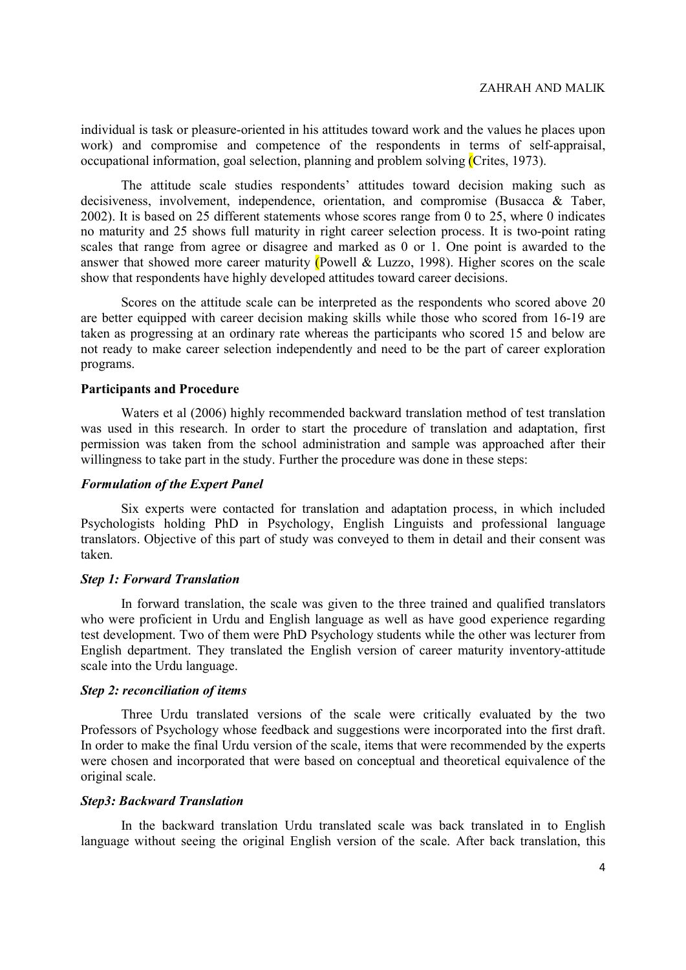individual is task or pleasure-oriented in his attitudes toward work and the values he places upon work) and compromise and competence of the respondents in terms of self-appraisal, occupational information, goal selection, planning and problem solving (Crites, 1973).

The attitude scale studies respondents' attitudes toward decision making such as decisiveness, involvement, independence, orientation, and compromise (Busacca & Taber, 2002). It is based on 25 different statements whose scores range from 0 to 25, where 0 indicates no maturity and 25 shows full maturity in right career selection process. It is two-point rating scales that range from agree or disagree and marked as 0 or 1. One point is awarded to the answer that showed more career maturity (Powell & Luzzo, 1998). Higher scores on the scale show that respondents have highly developed attitudes toward career decisions.

Scores on the attitude scale can be interpreted as the respondents who scored above 20 are better equipped with career decision making skills while those who scored from 16-19 are taken as progressing at an ordinary rate whereas the participants who scored 15 and below are not ready to make career selection independently and need to be the part of career exploration programs.

## Participants and Procedure

Waters et al (2006) highly recommended backward translation method of test translation was used in this research. In order to start the procedure of translation and adaptation, first permission was taken from the school administration and sample was approached after their willingness to take part in the study. Further the procedure was done in these steps:

### Formulation of the Expert Panel

Six experts were contacted for translation and adaptation process, in which included Psychologists holding PhD in Psychology, English Linguists and professional language translators. Objective of this part of study was conveyed to them in detail and their consent was taken.

#### Step 1: Forward Translation

In forward translation, the scale was given to the three trained and qualified translators who were proficient in Urdu and English language as well as have good experience regarding test development. Two of them were PhD Psychology students while the other was lecturer from English department. They translated the English version of career maturity inventory-attitude scale into the Urdu language.

### Step 2: reconciliation of items

Three Urdu translated versions of the scale were critically evaluated by the two Professors of Psychology whose feedback and suggestions were incorporated into the first draft. In order to make the final Urdu version of the scale, items that were recommended by the experts were chosen and incorporated that were based on conceptual and theoretical equivalence of the original scale.

### Step3: Backward Translation

In the backward translation Urdu translated scale was back translated in to English language without seeing the original English version of the scale. After back translation, this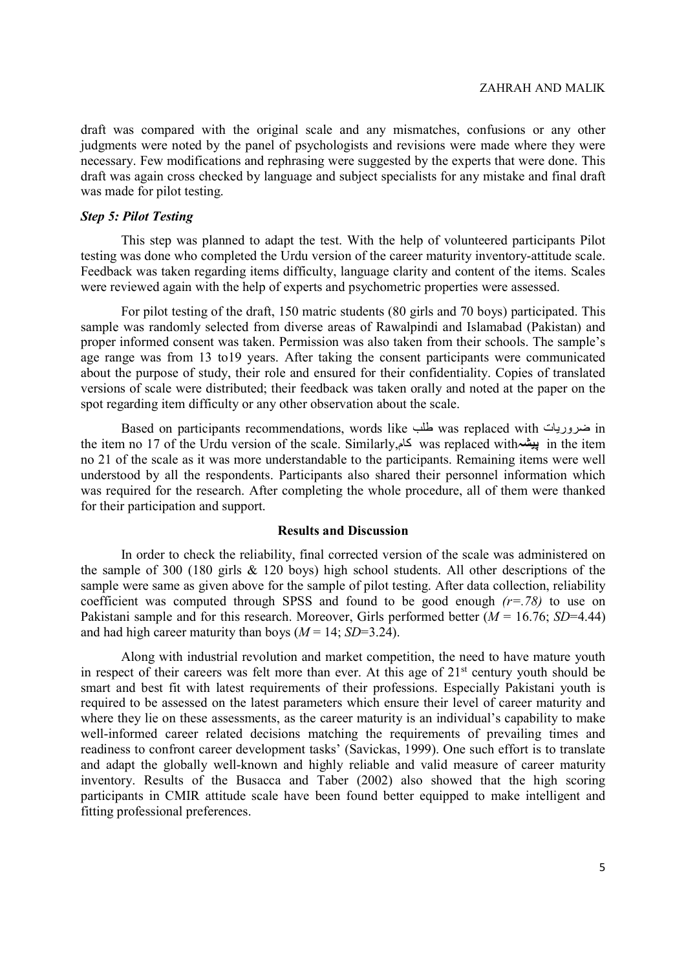draft was compared with the original scale and any mismatches, confusions or any other judgments were noted by the panel of psychologists and revisions were made where they were necessary. Few modifications and rephrasing were suggested by the experts that were done. This draft was again cross checked by language and subject specialists for any mistake and final draft was made for pilot testing.

## Step 5: Pilot Testing

This step was planned to adapt the test. With the help of volunteered participants Pilot testing was done who completed the Urdu version of the career maturity inventory-attitude scale. Feedback was taken regarding items difficulty, language clarity and content of the items. Scales were reviewed again with the help of experts and psychometric properties were assessed.

For pilot testing of the draft, 150 matric students (80 girls and 70 boys) participated. This sample was randomly selected from diverse areas of Rawalpindi and Islamabad (Pakistan) and proper informed consent was taken. Permission was also taken from their schools. The sample's age range was from 13 to19 years. After taking the consent participants were communicated about the purpose of study, their role and ensured for their confidentiality. Copies of translated versions of scale were distributed; their feedback was taken orally and noted at the paper on the spot regarding item difficulty or any other observation about the scale.

Based on participants recommendations, words like طلب was replaced with ضروريات in the item no 17 of the Urdu version of the scale. Similarly, کام was replaced withپيشہ in the item no 21 of the scale as it was more understandable to the participants. Remaining items were well understood by all the respondents. Participants also shared their personnel information which was required for the research. After completing the whole procedure, all of them were thanked for their participation and support.

#### Results and Discussion

In order to check the reliability, final corrected version of the scale was administered on the sample of 300 (180 girls & 120 boys) high school students. All other descriptions of the sample were same as given above for the sample of pilot testing. After data collection, reliability coefficient was computed through SPSS and found to be good enough  $(r=.78)$  to use on Pakistani sample and for this research. Moreover, Girls performed better  $(M = 16.76; SD=4.44)$ and had high career maturity than boys ( $M = 14$ ; SD=3.24).

Along with industrial revolution and market competition, the need to have mature youth in respect of their careers was felt more than ever. At this age of  $21<sup>st</sup>$  century youth should be smart and best fit with latest requirements of their professions. Especially Pakistani youth is required to be assessed on the latest parameters which ensure their level of career maturity and where they lie on these assessments, as the career maturity is an individual's capability to make well-informed career related decisions matching the requirements of prevailing times and readiness to confront career development tasks' (Savickas, 1999). One such effort is to translate and adapt the globally well-known and highly reliable and valid measure of career maturity inventory. Results of the Busacca and Taber (2002) also showed that the high scoring participants in CMIR attitude scale have been found better equipped to make intelligent and fitting professional preferences.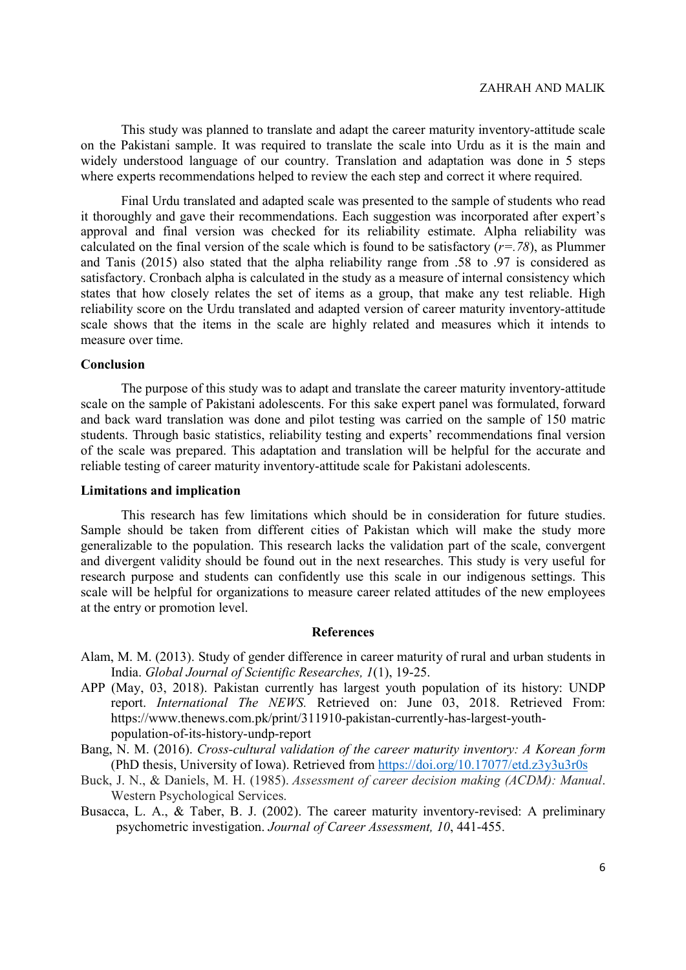This study was planned to translate and adapt the career maturity inventory-attitude scale on the Pakistani sample. It was required to translate the scale into Urdu as it is the main and widely understood language of our country. Translation and adaptation was done in 5 steps where experts recommendations helped to review the each step and correct it where required.

Final Urdu translated and adapted scale was presented to the sample of students who read it thoroughly and gave their recommendations. Each suggestion was incorporated after expert's approval and final version was checked for its reliability estimate. Alpha reliability was calculated on the final version of the scale which is found to be satisfactory  $(r=.78)$ , as Plummer and Tanis (2015) also stated that the alpha reliability range from .58 to .97 is considered as satisfactory. Cronbach alpha is calculated in the study as a measure of internal consistency which states that how closely relates the set of items as a group, that make any test reliable. High reliability score on the Urdu translated and adapted version of career maturity inventory-attitude scale shows that the items in the scale are highly related and measures which it intends to measure over time.

#### Conclusion

The purpose of this study was to adapt and translate the career maturity inventory-attitude scale on the sample of Pakistani adolescents. For this sake expert panel was formulated, forward and back ward translation was done and pilot testing was carried on the sample of 150 matric students. Through basic statistics, reliability testing and experts' recommendations final version of the scale was prepared. This adaptation and translation will be helpful for the accurate and reliable testing of career maturity inventory-attitude scale for Pakistani adolescents.

#### Limitations and implication

This research has few limitations which should be in consideration for future studies. Sample should be taken from different cities of Pakistan which will make the study more generalizable to the population. This research lacks the validation part of the scale, convergent and divergent validity should be found out in the next researches. This study is very useful for research purpose and students can confidently use this scale in our indigenous settings. This scale will be helpful for organizations to measure career related attitudes of the new employees at the entry or promotion level.

#### References

- Alam, M. M. (2013). Study of gender difference in career maturity of rural and urban students in India. Global Journal of Scientific Researches, 1(1), 19-25.
- APP (May, 03, 2018). Pakistan currently has largest youth population of its history: UNDP report. International The NEWS. Retrieved on: June 03, 2018. Retrieved From: https://www.thenews.com.pk/print/311910-pakistan-currently-has-largest-youthpopulation-of-its-history-undp-report
- Bang, N. M. (2016). Cross-cultural validation of the career maturity inventory: A Korean form (PhD thesis, University of Iowa). Retrieved from https://doi.org/10.17077/etd.z3y3u3r0s
- Buck, J. N., & Daniels, M. H. (1985). Assessment of career decision making (ACDM): Manual. Western Psychological Services.
- Busacca, L. A., & Taber, B. J. (2002). The career maturity inventory-revised: A preliminary psychometric investigation. Journal of Career Assessment, 10, 441-455.